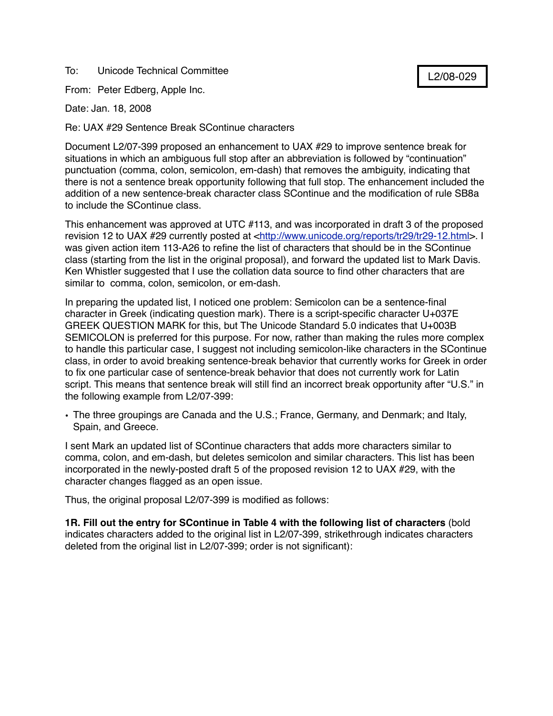To: Unicode Technical Committee

From: Peter Edberg, Apple Inc.

Date: Jan. 18, 2008

Re: UAX #29 Sentence Break SContinue characters

Document L2/07-399 proposed an enhancement to UAX #29 to improve sentence break for situations in which an ambiguous full stop after an abbreviation is followed by "continuation" punctuation (comma, colon, semicolon, em-dash) that removes the ambiguity, indicating that there is not a sentence break opportunity following that full stop. The enhancement included the addition of a new sentence-break character class SContinue and the modification of rule SB8a to include the SContinue class.

This enhancement was approved at UTC #113, and was incorporated in draft 3 of the proposed revision 12 to UAX #29 currently posted at <[http://www.unicode.org/reports/tr29/tr29-12.html>](http://www.unicode.org/reports/tr29/tr29-12.html). I was given action item 113-A26 to refine the list of characters that should be in the SContinue class (starting from the list in the original proposal), and forward the updated list to Mark Davis. Ken Whistler suggested that I use the collation data source to find other characters that are similar to comma, colon, semicolon, or em-dash.

In preparing the updated list, I noticed one problem: Semicolon can be a sentence-final character in Greek (indicating question mark). There is a script-specific character U+037E GREEK QUESTION MARK for this, but The Unicode Standard 5.0 indicates that U+003B SEMICOLON is preferred for this purpose. For now, rather than making the rules more complex to handle this particular case, I suggest not including semicolon-like characters in the SContinue class, in order to avoid breaking sentence-break behavior that currently works for Greek in order to fix one particular case of sentence-break behavior that does not currently work for Latin script. This means that sentence break will still find an incorrect break opportunity after "U.S." in the following example from L2/07-399:

• The three groupings are Canada and the U.S.; France, Germany, and Denmark; and Italy, Spain, and Greece.

I sent Mark an updated list of SContinue characters that adds more characters similar to comma, colon, and em-dash, but deletes semicolon and similar characters. This list has been incorporated in the newly-posted draft 5 of the proposed revision 12 to UAX #29, with the character changes flagged as an open issue.

Thus, the original proposal L2/07-399 is modified as follows:

**1R. Fill out the entry for SContinue in Table 4 with the following list of characters** (bold indicates characters added to the original list in L2/07-399, strikethrough indicates characters deleted from the original list in L2/07-399; order is not significant):